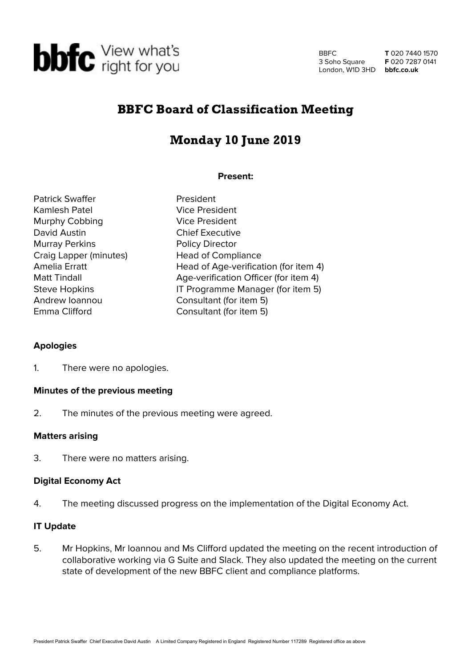

BBFC 3 Soho Square London, W1D 3HD **bbfc.co.uk**

**T** 020 7440 1570 **F** 020 7287 0141

# BBFC Board of Classification Meeting

# Monday 10 June 2019

## **Present:**

Patrick Swaffer **President** Kamlesh Patel Vice President Murphy Cobbing Vice President David Austin **Chief Executive** Murray Perkins **Policy Director** Craig Lapper (minutes) Head of Compliance Emma Clifford Consultant (for item 5)

Amelia Erratt Head of Age-verification (for item 4) Matt Tindall Matt Tindall Age-verification Officer (for item 4) Steve Hopkins **IT Programme Manager (for item 5)** Andrew Ioannou Consultant (for item 5)

## **Apologies**

1. There were no apologies.

## **Minutes of the previous meeting**

2. The minutes of the previous meeting were agreed.

#### **Matters arising**

3. There were no matters arising.

#### **Digital Economy Act**

4. The meeting discussed progress on the implementation of the Digital Economy Act.

#### **IT Update**

5. Mr Hopkins, Mr Ioannou and Ms Clifford updated the meeting on the recent introduction of collaborative working via G Suite and Slack. They also updated the meeting on the current state of development of the new BBFC client and compliance platforms.